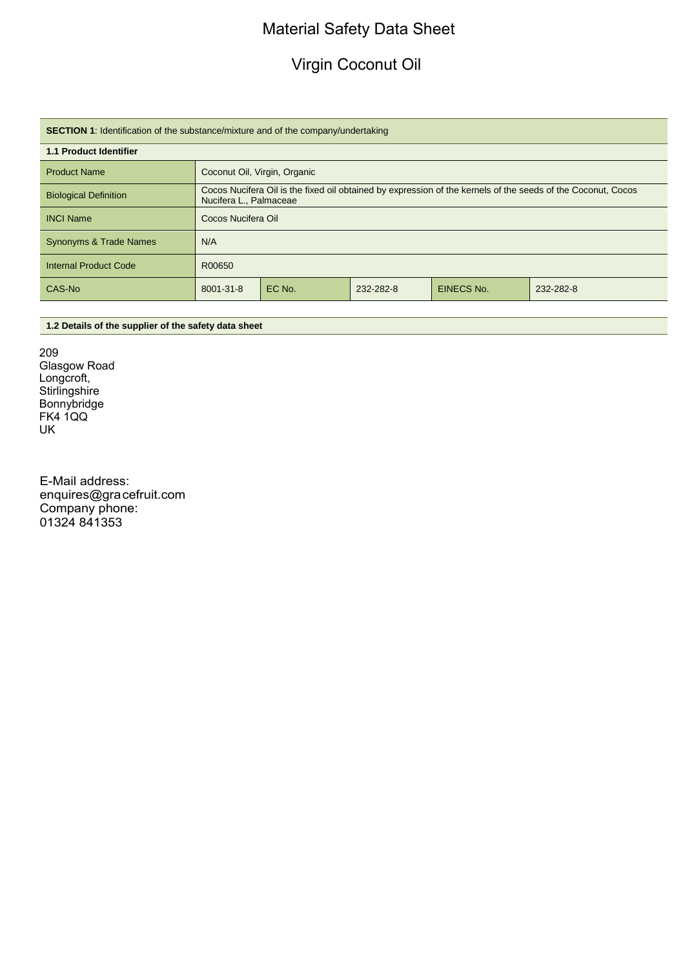# Material Safety Data Sheet

# Virgin Coconut Oil

| <b>SECTION 1:</b> Identification of the substance/mixture and of the company/undertaking |                                                                                                                                        |        |           |            |           |
|------------------------------------------------------------------------------------------|----------------------------------------------------------------------------------------------------------------------------------------|--------|-----------|------------|-----------|
| <b>1.1 Product Identifier</b>                                                            |                                                                                                                                        |        |           |            |           |
| <b>Product Name</b>                                                                      | Coconut Oil, Virgin, Organic                                                                                                           |        |           |            |           |
| <b>Biological Definition</b>                                                             | Cocos Nucifera Oil is the fixed oil obtained by expression of the kernels of the seeds of the Coconut, Cocos<br>Nucifera L., Palmaceae |        |           |            |           |
| <b>INCI Name</b>                                                                         | Cocos Nucifera Oil                                                                                                                     |        |           |            |           |
| <b>Synonyms &amp; Trade Names</b>                                                        | N/A                                                                                                                                    |        |           |            |           |
| <b>Internal Product Code</b>                                                             | R00650                                                                                                                                 |        |           |            |           |
| CAS-No                                                                                   | 8001-31-8                                                                                                                              | EC No. | 232-282-8 | EINECS No. | 232-282-8 |

# **1.2 Details of the supplier of the safety data sheet**

209 Glasgow Road Longcroft, Stirlingshire Bonnybridge FK4 1QQ UK

E-Mail address: enquires@gracefruit.com Company phone: 01324 841353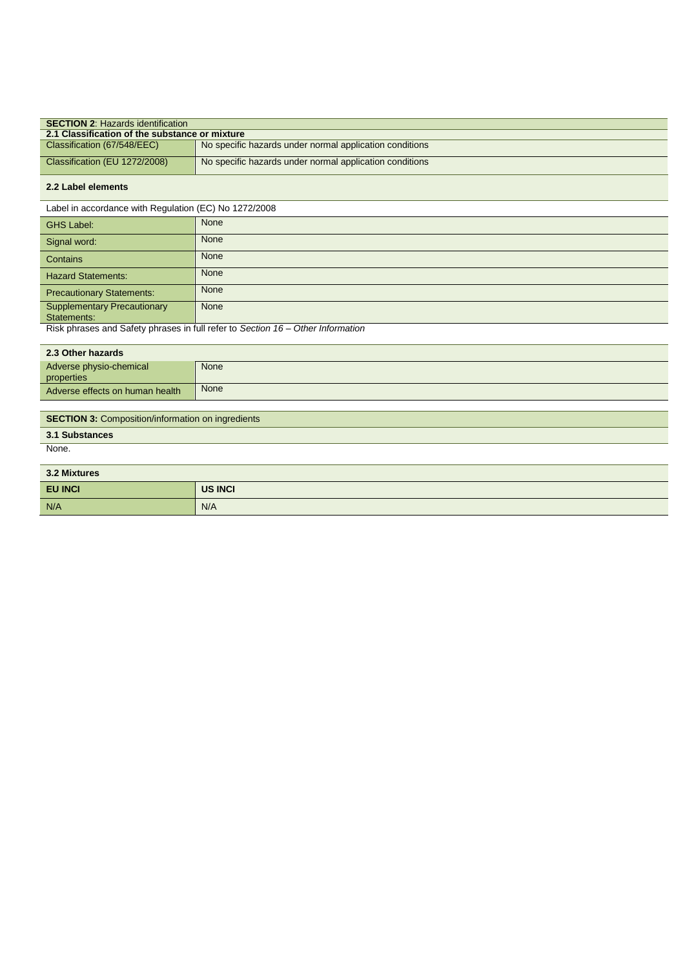| <b>SECTION 2. Hazards identification</b>       |                                                         |  |
|------------------------------------------------|---------------------------------------------------------|--|
| 2.1 Classification of the substance or mixture |                                                         |  |
| Classification (67/548/EEC)                    | No specific hazards under normal application conditions |  |
| Classification (EU 1272/2008)                  | No specific hazards under normal application conditions |  |

### **2.2 Label elements**

Label in accordance with Regulation (EC) No 1272/2008

| <b>GHS Label:</b>                  | None |
|------------------------------------|------|
| Signal word:                       | None |
| Contains                           | None |
| <b>Hazard Statements:</b>          | None |
| <b>Precautionary Statements:</b>   | None |
| <b>Supplementary Precautionary</b> | None |
| Statements:                        |      |
|                                    |      |

Risk phrases and Safety phrases in full refer to *Section 16 – Other Information*

| 2.3 Other hazards                     |      |
|---------------------------------------|------|
| Adverse physio-chemical<br>properties | None |
| Adverse effects on human health       | None |
|                                       |      |

# **SECTION 3: Composition/information on ingredients**

# **3.1 Substances**

None.

| 3.2 Mixtures   |                |
|----------------|----------------|
| <b>EU INCI</b> | <b>US INCI</b> |
| N/A            | N/A            |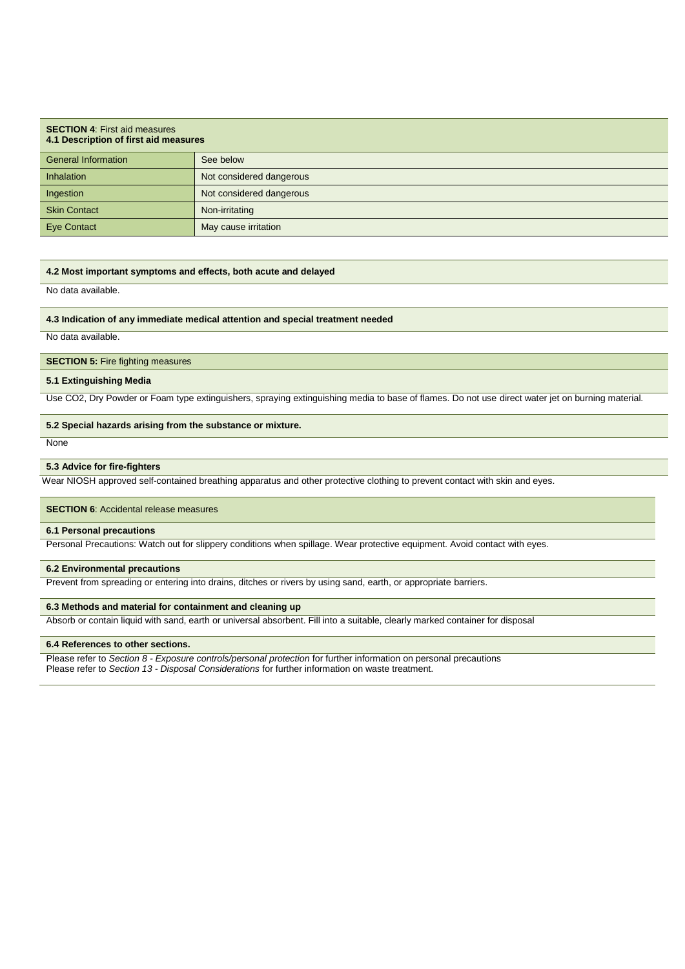| <b>SECTION 4: First aid measures</b><br>4.1 Description of first aid measures |                          |  |
|-------------------------------------------------------------------------------|--------------------------|--|
| <b>General Information</b>                                                    | See below                |  |
| Inhalation                                                                    | Not considered dangerous |  |
| Ingestion                                                                     | Not considered dangerous |  |
| <b>Skin Contact</b>                                                           | Non-irritating           |  |
| <b>Eye Contact</b>                                                            | May cause irritation     |  |

### **4.2 Most important symptoms and effects, both acute and delayed**

No data available.

#### **4.3 Indication of any immediate medical attention and special treatment needed**

No data available.

### **SECTION 5:** Fire fighting measures

#### **5.1 Extinguishing Media**

Use CO2, Dry Powder or Foam type extinguishers, spraying extinguishing media to base of flames. Do not use direct water jet on burning material.

#### **5.2 Special hazards arising from the substance or mixture.**

**None** 

### **5.3 Advice for fire-fighters**

Wear NIOSH approved self-contained breathing apparatus and other protective clothing to prevent contact with skin and eyes.

#### **SECTION 6:** Accidental release measures

#### **6.1 Personal precautions**

Personal Precautions: Watch out for slippery conditions when spillage. Wear protective equipment. Avoid contact with eyes.

#### **6.2 Environmental precautions**

Prevent from spreading or entering into drains, ditches or rivers by using sand, earth, or appropriate barriers.

#### **6.3 Methods and material for containment and cleaning up**

Absorb or contain liquid with sand, earth or universal absorbent. Fill into a suitable, clearly marked container for disposal

#### **6.4 References to other sections.**

Please refer to *Section 8 - Exposure controls/personal protection* for further information on personal precautions Please refer to *Section 13 - Disposal Considerations* for further information on waste treatment.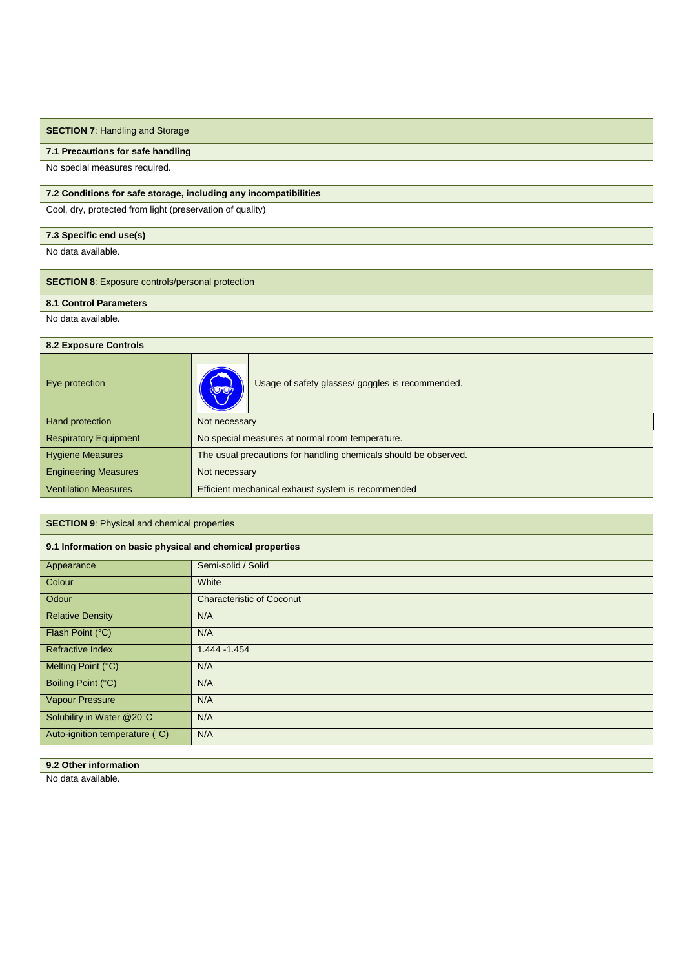# **SECTION 7: Handling and Storage**

#### **7.1 Precautions for safe handling**

No special measures required.

### **7.2 Conditions for safe storage, including any incompatibilities**

Cool, dry, protected from light (preservation of quality)

### **7.3 Specific end use(s)**

No data available.

# **SECTION 8**: Exposure controls/personal protection

**8.1 Control Parameters**

No data available.

### **8.2 Exposure Controls**

| Usage of safety glasses/ goggles is recommended.<br><b>ND ON</b> |
|------------------------------------------------------------------|
| Not necessary                                                    |
| No special measures at normal room temperature.                  |
| The usual precautions for handling chemicals should be observed. |
| Not necessary                                                    |
| Efficient mechanical exhaust system is recommended               |
|                                                                  |

### **SECTION 9**: Physical and chemical properties

### **9.1 Information on basic physical and chemical properties**

| Appearance                     | Semi-solid / Solid               |
|--------------------------------|----------------------------------|
| Colour                         | White                            |
| Odour                          | <b>Characteristic of Coconut</b> |
| <b>Relative Density</b>        | N/A                              |
| Flash Point (°C)               | N/A                              |
| <b>Refractive Index</b>        | 1.444 - 1.454                    |
| Melting Point (°C)             | N/A                              |
| Boiling Point (°C)             | N/A                              |
| <b>Vapour Pressure</b>         | N/A                              |
| Solubility in Water @20°C      | N/A                              |
| Auto-ignition temperature (°C) | N/A                              |

# **9.2 Other information**

No data available.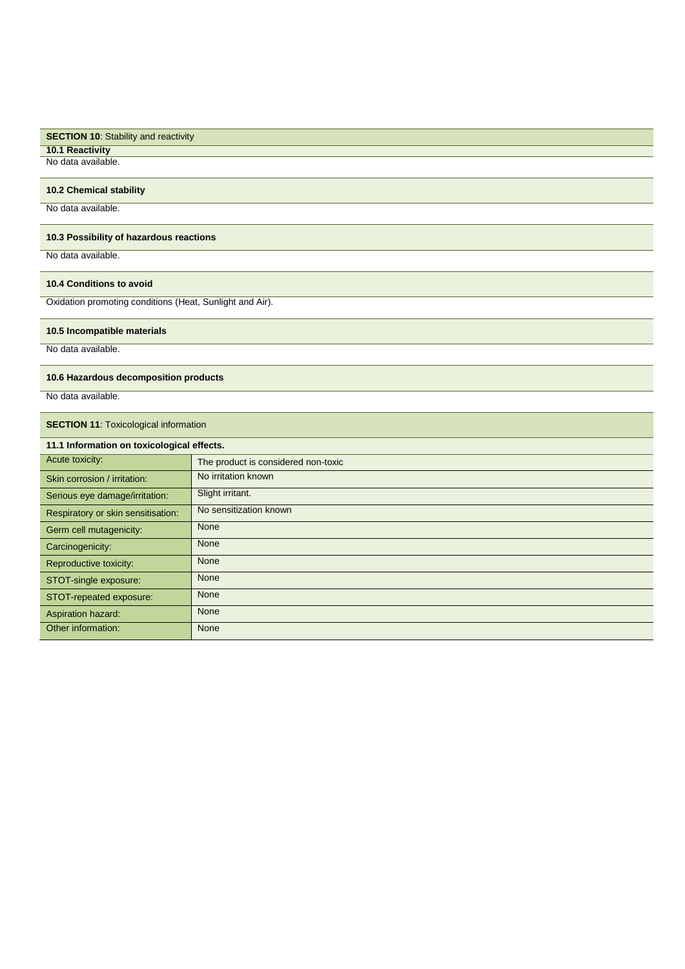| <b>SECTION 10: Stability and reactivity</b> |  |
|---------------------------------------------|--|
| <b>10.1 Reactivity</b>                      |  |
| No data available.                          |  |

### **10.2 Chemical stability**

No data available.

# **10.3 Possibility of hazardous reactions**

No data available.

### **10.4 Conditions to avoid**

Oxidation promoting conditions (Heat, Sunlight and Air).

# **10.5 Incompatible materials**

No data available.

### **10.6 Hazardous decomposition products**

No data available.

# **SECTION 11: Toxicological information**

| 11.1 Information on toxicological effects. |                                     |  |
|--------------------------------------------|-------------------------------------|--|
| Acute toxicity:                            | The product is considered non-toxic |  |
| Skin corrosion / irritation:               | No irritation known                 |  |
| Serious eye damage/irritation:             | Slight irritant.                    |  |
| Respiratory or skin sensitisation:         | No sensitization known              |  |
| Germ cell mutagenicity:                    | None                                |  |
| Carcinogenicity:                           | None                                |  |
| Reproductive toxicity:                     | None                                |  |
| STOT-single exposure:                      | None                                |  |
| STOT-repeated exposure:                    | None                                |  |
| Aspiration hazard:                         | None                                |  |
| Other information:                         | None                                |  |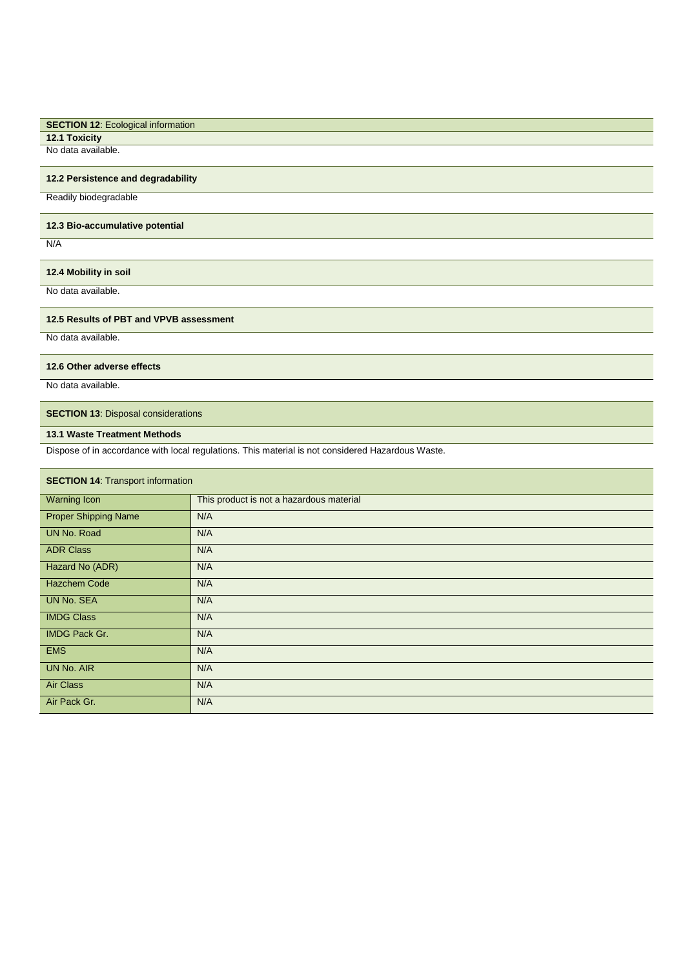# **SECTION 12: Ecological information**

**12.1 Toxicity** No data available.

# **12.2 Persistence and degradability**

Readily biodegradable

#### **12.3 Bio-accumulative potential**

N/A

# **12.4 Mobility in soil**

No data available.

#### **12.5 Results of PBT and VPVB assessment**

No data available.

### **12.6 Other adverse effects**

No data available.

### **SECTION 13: Disposal considerations**

# **13.1 Waste Treatment Methods**

Dispose of in accordance with local regulations. This material is not considered Hazardous Waste.

### **SECTION 14: Transport information**

| <b>Warning Icon</b>         | This product is not a hazardous material |
|-----------------------------|------------------------------------------|
| <b>Proper Shipping Name</b> | N/A                                      |
| UN No. Road                 | N/A                                      |
| <b>ADR Class</b>            | N/A                                      |
| Hazard No (ADR)             | N/A                                      |
| <b>Hazchem Code</b>         | N/A                                      |
| <b>UN No. SEA</b>           | N/A                                      |
| <b>IMDG Class</b>           | N/A                                      |
| <b>IMDG Pack Gr.</b>        | N/A                                      |
| <b>EMS</b>                  | N/A                                      |
| <b>UN No. AIR</b>           | N/A                                      |
| <b>Air Class</b>            | N/A                                      |
| Air Pack Gr.                | N/A                                      |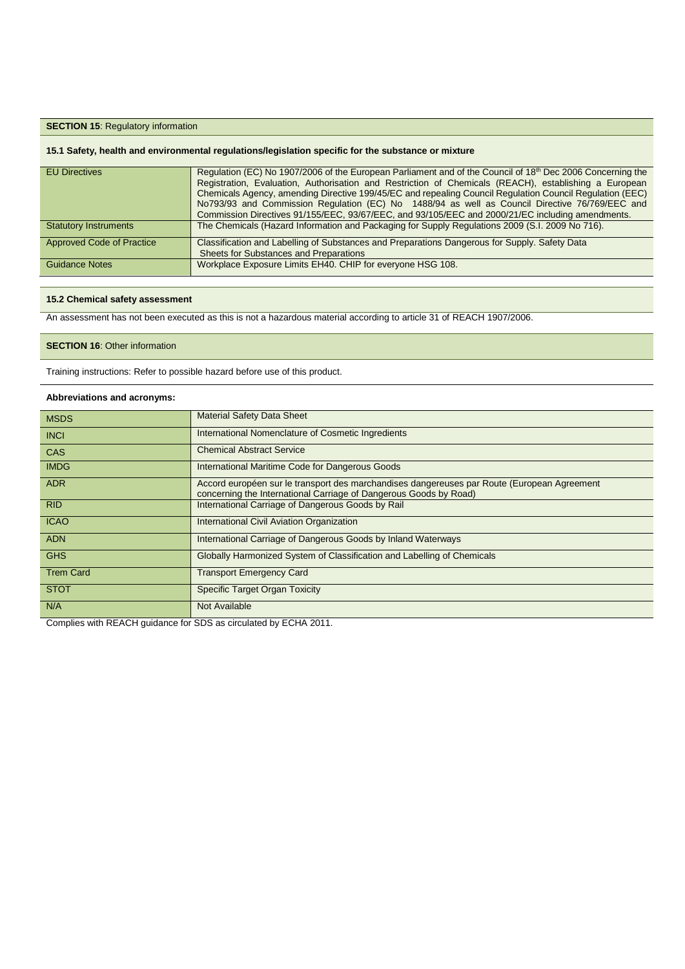### **SECTION 15: Regulatory information**

### **15.1 Safety, health and environmental regulations/legislation specific for the substance or mixture**

| <b>EU Directives</b>             | Regulation (EC) No 1907/2006 of the European Parliament and of the Council of 18 <sup>th</sup> Dec 2006 Concerning the<br>Registration, Evaluation, Authorisation and Restriction of Chemicals (REACH), establishing a European<br>Chemicals Agency, amending Directive 199/45/EC and repealing Council Regulation Council Regulation (EEC)<br>No793/93 and Commission Regulation (EC) No 1488/94 as well as Council Directive 76/769/EEC and<br>Commission Directives 91/155/EEC, 93/67/EEC, and 93/105/EEC and 2000/21/EC including amendments. |
|----------------------------------|---------------------------------------------------------------------------------------------------------------------------------------------------------------------------------------------------------------------------------------------------------------------------------------------------------------------------------------------------------------------------------------------------------------------------------------------------------------------------------------------------------------------------------------------------|
| <b>Statutory Instruments</b>     | The Chemicals (Hazard Information and Packaging for Supply Regulations 2009 (S.I. 2009 No 716).                                                                                                                                                                                                                                                                                                                                                                                                                                                   |
| <b>Approved Code of Practice</b> | Classification and Labelling of Substances and Preparations Dangerous for Supply. Safety Data<br><b>Sheets for Substances and Preparations</b>                                                                                                                                                                                                                                                                                                                                                                                                    |
| <b>Guidance Notes</b>            | Workplace Exposure Limits EH40. CHIP for everyone HSG 108.                                                                                                                                                                                                                                                                                                                                                                                                                                                                                        |

#### **15.2 Chemical safety assessment**

An assessment has not been executed as this is not a hazardous material according to article 31 of REACH 1907/2006.

### **SECTION 16: Other information**

Training instructions: Refer to possible hazard before use of this product.

#### **Abbreviations and acronyms:**

| <b>MSDS</b>      | <b>Material Safety Data Sheet</b>                                                                                                                                |  |
|------------------|------------------------------------------------------------------------------------------------------------------------------------------------------------------|--|
| <b>INCI</b>      | International Nomenclature of Cosmetic Ingredients                                                                                                               |  |
| <b>CAS</b>       | <b>Chemical Abstract Service</b>                                                                                                                                 |  |
| <b>IMDG</b>      | International Maritime Code for Dangerous Goods                                                                                                                  |  |
| <b>ADR</b>       | Accord européen sur le transport des marchandises dangereuses par Route (European Agreement<br>concerning the International Carriage of Dangerous Goods by Road) |  |
| <b>RID</b>       | International Carriage of Dangerous Goods by Rail                                                                                                                |  |
| <b>ICAO</b>      | International Civil Aviation Organization                                                                                                                        |  |
| <b>ADN</b>       | International Carriage of Dangerous Goods by Inland Waterways                                                                                                    |  |
| <b>GHS</b>       | Globally Harmonized System of Classification and Labelling of Chemicals                                                                                          |  |
| <b>Trem Card</b> | <b>Transport Emergency Card</b>                                                                                                                                  |  |
| <b>STOT</b>      | <b>Specific Target Organ Toxicity</b>                                                                                                                            |  |
| N/A              | Not Available                                                                                                                                                    |  |

Complies with REACH guidance for SDS as circulated by ECHA 2011.